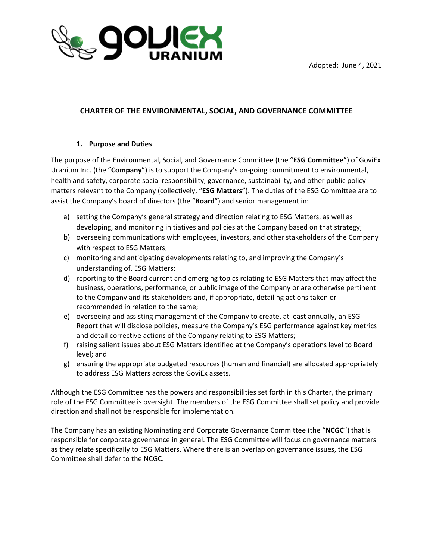



## **CHARTER OF THE ENVIRONMENTAL, SOCIAL, AND GOVERNANCE COMMITTEE**

#### **1. Purpose and Duties**

The purpose of the Environmental, Social, and Governance Committee (the "**ESG Committee**") of GoviEx Uranium Inc. (the "**Company**") is to support the Company's on-going commitment to environmental, health and safety, corporate social responsibility, governance, sustainability, and other public policy matters relevant to the Company (collectively, "**ESG Matters**"). The duties of the ESG Committee are to assist the Company's board of directors (the "**Board**") and senior management in:

- a) setting the Company's general strategy and direction relating to ESG Matters, as well as developing, and monitoring initiatives and policies at the Company based on that strategy;
- b) overseeing communications with employees, investors, and other stakeholders of the Company with respect to ESG Matters;
- c) monitoring and anticipating developments relating to, and improving the Company's understanding of, ESG Matters;
- d) reporting to the Board current and emerging topics relating to ESG Matters that may affect the business, operations, performance, or public image of the Company or are otherwise pertinent to the Company and its stakeholders and, if appropriate, detailing actions taken or recommended in relation to the same;
- e) overseeing and assisting management of the Company to create, at least annually, an ESG Report that will disclose policies, measure the Company's ESG performance against key metrics and detail corrective actions of the Company relating to ESG Matters;
- f) raising salient issues about ESG Matters identified at the Company's operations level to Board level; and
- g) ensuring the appropriate budgeted resources (human and financial) are allocated appropriately to address ESG Matters across the GoviEx assets.

Although the ESG Committee has the powers and responsibilities set forth in this Charter, the primary role of the ESG Committee is oversight. The members of the ESG Committee shall set policy and provide direction and shall not be responsible for implementation.

The Company has an existing Nominating and Corporate Governance Committee (the "**NCGC**") that is responsible for corporate governance in general. The ESG Committee will focus on governance matters as they relate specifically to ESG Matters. Where there is an overlap on governance issues, the ESG Committee shall defer to the NCGC.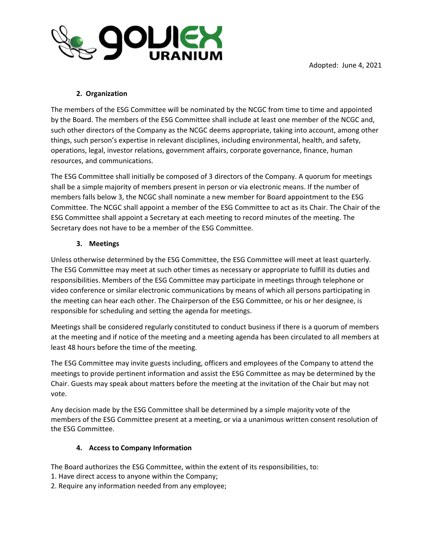

# **2. Organization**

The members of the ESG Committee will be nominated by the NCGC from time to time and appointed by the Board. The members of the ESG Committee shall include at least one member of the NCGC and, such other directors of the Company as the NCGC deems appropriate, taking into account, among other things, such person's expertise in relevant disciplines, including environmental, health, and safety, operations, legal, investor relations, government affairs, corporate governance, finance, human resources, and communications.

The ESG Committee shall initially be composed of 3 directors of the Company. A quorum for meetings shall be a simple majority of members present in person or via electronic means. If the number of members falls below 3, the NCGC shall nominate a new member for Board appointment to the ESG Committee. The NCGC shall appoint a member of the ESG Committee to act as its Chair. The Chair of the ESG Committee shall appoint a Secretary at each meeting to record minutes of the meeting. The Secretary does not have to be a member of the ESG Committee.

#### **3. Meetings**

Unless otherwise determined by the ESG Committee, the ESG Committee will meet at least quarterly. The ESG Committee may meet at such other times as necessary or appropriate to fulfill its duties and responsibilities. Members of the ESG Committee may participate in meetings through telephone or video conference or similar electronic communications by means of which all persons participating in the meeting can hear each other. The Chairperson of the ESG Committee, or his or her designee, is responsible for scheduling and setting the agenda for meetings.

Meetings shall be considered regularly constituted to conduct business if there is a quorum of members at the meeting and if notice of the meeting and a meeting agenda has been circulated to all members at least 48 hours before the time of the meeting.

The ESG Committee may invite guests including, officers and employees of the Company to attend the meetings to provide pertinent information and assist the ESG Committee as may be determined by the Chair. Guests may speak about matters before the meeting at the invitation of the Chair but may not vote.

Any decision made by the ESG Committee shall be determined by a simple majority vote of the members of the ESG Committee present at a meeting, or via a unanimous written consent resolution of the ESG Committee.

#### **4. Access to Company Information**

The Board authorizes the ESG Committee, within the extent of its responsibilities, to:

- 1. Have direct access to anyone within the Company;
- 2. Require any information needed from any employee;